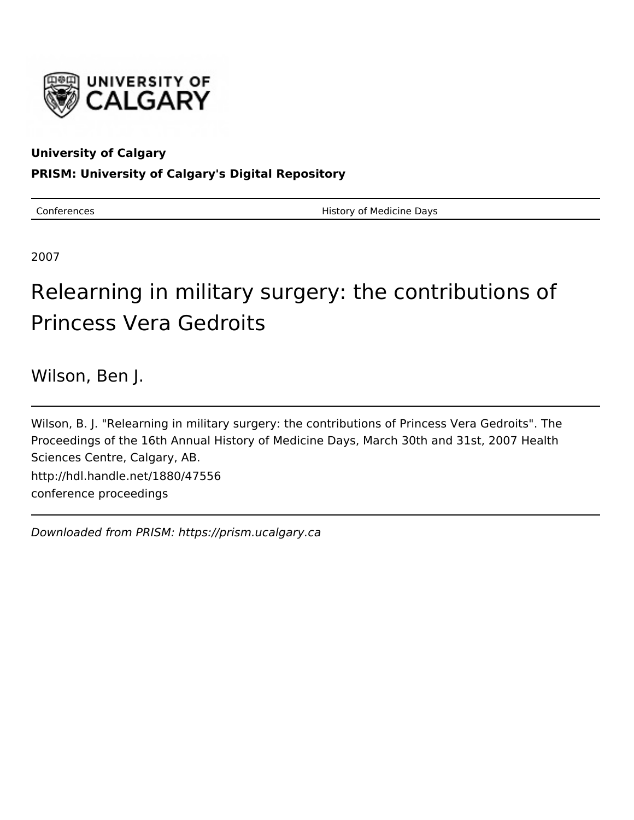

# **University of Calgary**

## **PRISM: University of Calgary's Digital Repository**

Conferences **History of Medicine Days** 

2007

# Relearning in military surgery: the contributions of Princess Vera Gedroits

Wilson, Ben J.

Wilson, B. J. "Relearning in military surgery: the contributions of Princess Vera Gedroits". The Proceedings of the 16th Annual History of Medicine Days, March 30th and 31st, 2007 Health Sciences Centre, Calgary, AB. http://hdl.handle.net/1880/47556 conference proceedings

Downloaded from PRISM: https://prism.ucalgary.ca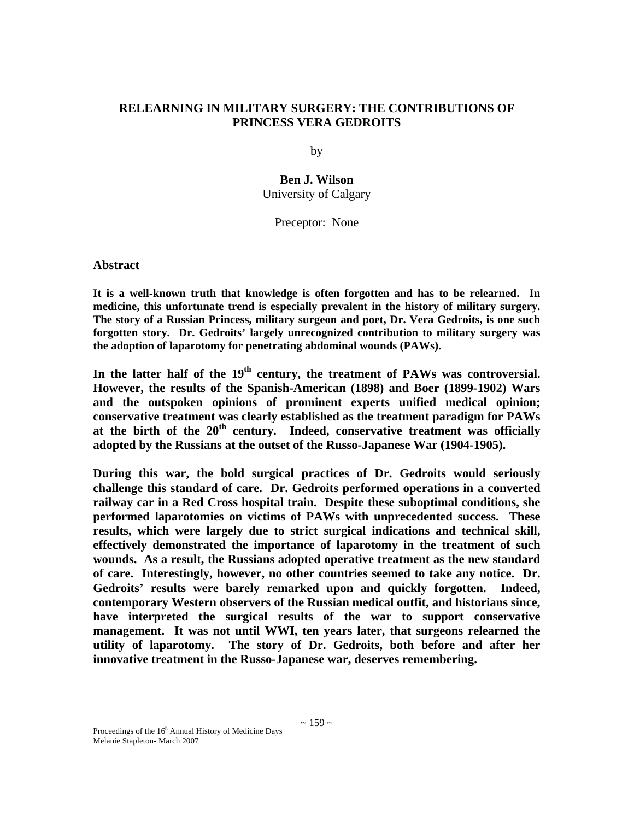## **RELEARNING IN MILITARY SURGERY: THE CONTRIBUTIONS OF PRINCESS VERA GEDROITS**

by

**Ben J. Wilson** University of Calgary

Preceptor: None

### **Abstract**

**It is a well-known truth that knowledge is often forgotten and has to be relearned. In medicine, this unfortunate trend is especially prevalent in the history of military surgery. The story of a Russian Princess, military surgeon and poet, Dr. Vera Gedroits, is one such forgotten story. Dr. Gedroits' largely unrecognized contribution to military surgery was the adoption of laparotomy for penetrating abdominal wounds (PAWs).** 

In the latter half of the 19<sup>th</sup> century, the treatment of PAWs was controversial. **However, the results of the Spanish-American (1898) and Boer (1899-1902) Wars and the outspoken opinions of prominent experts unified medical opinion; conservative treatment was clearly established as the treatment paradigm for PAWs**  at the birth of the  $20<sup>th</sup>$  century. Indeed, conservative treatment was officially **adopted by the Russians at the outset of the Russo-Japanese War (1904-1905).** 

**During this war, the bold surgical practices of Dr. Gedroits would seriously challenge this standard of care. Dr. Gedroits performed operations in a converted railway car in a Red Cross hospital train. Despite these suboptimal conditions, she performed laparotomies on victims of PAWs with unprecedented success. These results, which were largely due to strict surgical indications and technical skill, effectively demonstrated the importance of laparotomy in the treatment of such wounds. As a result, the Russians adopted operative treatment as the new standard of care. Interestingly, however, no other countries seemed to take any notice. Dr. Gedroits' results were barely remarked upon and quickly forgotten. Indeed, contemporary Western observers of the Russian medical outfit, and historians since, have interpreted the surgical results of the war to support conservative management. It was not until WWI, ten years later, that surgeons relearned the utility of laparotomy. The story of Dr. Gedroits, both before and after her innovative treatment in the Russo-Japanese war, deserves remembering.**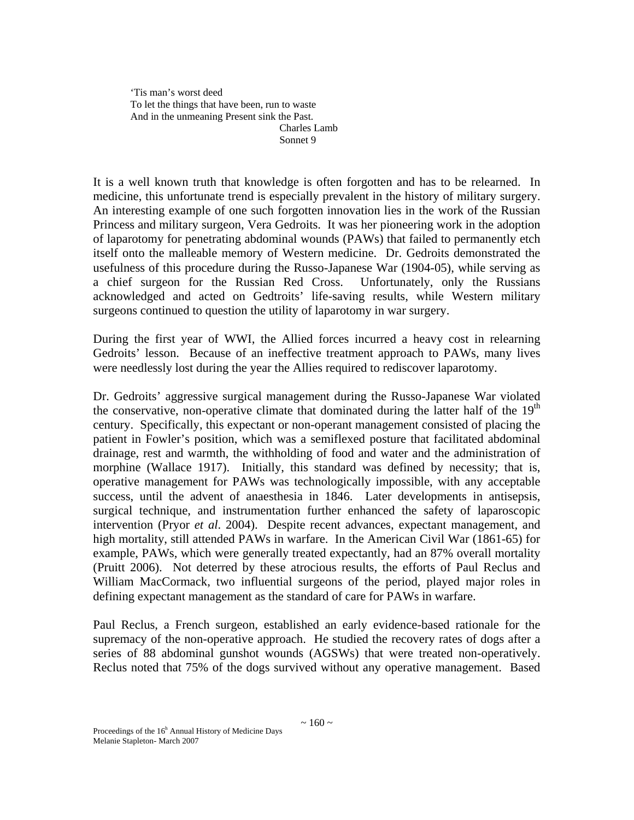'Tis man's worst deed To let the things that have been, run to waste And in the unmeaning Present sink the Past. Charles Lamb Sonnet 9

It is a well known truth that knowledge is often forgotten and has to be relearned. In medicine, this unfortunate trend is especially prevalent in the history of military surgery. An interesting example of one such forgotten innovation lies in the work of the Russian Princess and military surgeon, Vera Gedroits. It was her pioneering work in the adoption of laparotomy for penetrating abdominal wounds (PAWs) that failed to permanently etch itself onto the malleable memory of Western medicine. Dr. Gedroits demonstrated the usefulness of this procedure during the Russo-Japanese War (1904-05), while serving as a chief surgeon for the Russian Red Cross. Unfortunately, only the Russians acknowledged and acted on Gedtroits' life-saving results, while Western military surgeons continued to question the utility of laparotomy in war surgery.

During the first year of WWI, the Allied forces incurred a heavy cost in relearning Gedroits' lesson. Because of an ineffective treatment approach to PAWs, many lives were needlessly lost during the year the Allies required to rediscover laparotomy.

Dr. Gedroits' aggressive surgical management during the Russo-Japanese War violated the conservative, non-operative climate that dominated during the latter half of the  $19<sup>th</sup>$ century. Specifically, this expectant or non-operant management consisted of placing the patient in Fowler's position, which was a semiflexed posture that facilitated abdominal drainage, rest and warmth, the withholding of food and water and the administration of morphine (Wallace 1917). Initially, this standard was defined by necessity; that is, operative management for PAWs was technologically impossible, with any acceptable success, until the advent of anaesthesia in 1846. Later developments in antisepsis, surgical technique, and instrumentation further enhanced the safety of laparoscopic intervention (Pryor *et al*. 2004). Despite recent advances, expectant management, and high mortality, still attended PAWs in warfare. In the American Civil War (1861-65) for example, PAWs, which were generally treated expectantly, had an 87% overall mortality (Pruitt 2006). Not deterred by these atrocious results, the efforts of Paul Reclus and William MacCormack, two influential surgeons of the period, played major roles in defining expectant management as the standard of care for PAWs in warfare.

Paul Reclus, a French surgeon, established an early evidence-based rationale for the supremacy of the non-operative approach. He studied the recovery rates of dogs after a series of 88 abdominal gunshot wounds (AGSWs) that were treated non-operatively. Reclus noted that 75% of the dogs survived without any operative management. Based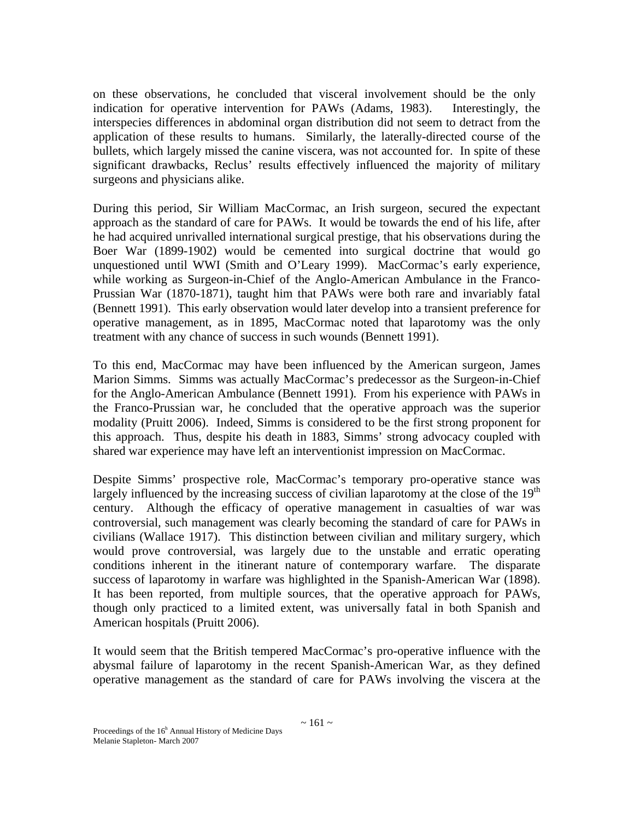on these observations, he concluded that visceral involvement should be the only indication for operative intervention for PAWs (Adams, 1983). Interestingly, the interspecies differences in abdominal organ distribution did not seem to detract from the application of these results to humans. Similarly, the laterally-directed course of the bullets, which largely missed the canine viscera, was not accounted for. In spite of these significant drawbacks, Reclus' results effectively influenced the majority of military surgeons and physicians alike.

During this period, Sir William MacCormac, an Irish surgeon, secured the expectant approach as the standard of care for PAWs. It would be towards the end of his life, after he had acquired unrivalled international surgical prestige, that his observations during the Boer War (1899-1902) would be cemented into surgical doctrine that would go unquestioned until WWI (Smith and O'Leary 1999). MacCormac's early experience, while working as Surgeon-in-Chief of the Anglo-American Ambulance in the Franco-Prussian War (1870-1871), taught him that PAWs were both rare and invariably fatal (Bennett 1991). This early observation would later develop into a transient preference for operative management, as in 1895, MacCormac noted that laparotomy was the only treatment with any chance of success in such wounds (Bennett 1991).

To this end, MacCormac may have been influenced by the American surgeon, James Marion Simms. Simms was actually MacCormac's predecessor as the Surgeon-in-Chief for the Anglo-American Ambulance (Bennett 1991). From his experience with PAWs in the Franco-Prussian war, he concluded that the operative approach was the superior modality (Pruitt 2006). Indeed, Simms is considered to be the first strong proponent for this approach. Thus, despite his death in 1883, Simms' strong advocacy coupled with shared war experience may have left an interventionist impression on MacCormac.

Despite Simms' prospective role, MacCormac's temporary pro-operative stance was largely influenced by the increasing success of civilian laparotomy at the close of the  $19<sup>th</sup>$ century. Although the efficacy of operative management in casualties of war was controversial, such management was clearly becoming the standard of care for PAWs in civilians (Wallace 1917). This distinction between civilian and military surgery, which would prove controversial, was largely due to the unstable and erratic operating conditions inherent in the itinerant nature of contemporary warfare. The disparate success of laparotomy in warfare was highlighted in the Spanish-American War (1898). It has been reported, from multiple sources, that the operative approach for PAWs, though only practiced to a limited extent, was universally fatal in both Spanish and American hospitals (Pruitt 2006).

It would seem that the British tempered MacCormac's pro-operative influence with the abysmal failure of laparotomy in the recent Spanish-American War, as they defined operative management as the standard of care for PAWs involving the viscera at the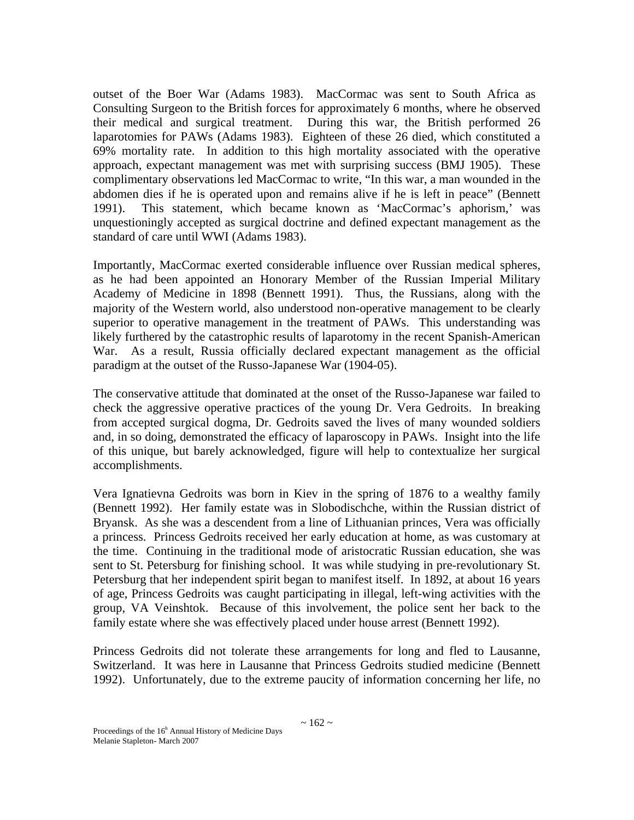outset of the Boer War (Adams 1983). MacCormac was sent to South Africa as Consulting Surgeon to the British forces for approximately 6 months, where he observed their medical and surgical treatment. During this war, the British performed 26 laparotomies for PAWs (Adams 1983). Eighteen of these 26 died, which constituted a 69% mortality rate. In addition to this high mortality associated with the operative approach, expectant management was met with surprising success (BMJ 1905). These complimentary observations led MacCormac to write, "In this war, a man wounded in the abdomen dies if he is operated upon and remains alive if he is left in peace" (Bennett 1991). This statement, which became known as 'MacCormac's aphorism,' was unquestioningly accepted as surgical doctrine and defined expectant management as the standard of care until WWI (Adams 1983).

Importantly, MacCormac exerted considerable influence over Russian medical spheres, as he had been appointed an Honorary Member of the Russian Imperial Military Academy of Medicine in 1898 (Bennett 1991). Thus, the Russians, along with the majority of the Western world, also understood non-operative management to be clearly superior to operative management in the treatment of PAWs. This understanding was likely furthered by the catastrophic results of laparotomy in the recent Spanish-American War. As a result, Russia officially declared expectant management as the official paradigm at the outset of the Russo-Japanese War (1904-05).

The conservative attitude that dominated at the onset of the Russo-Japanese war failed to check the aggressive operative practices of the young Dr. Vera Gedroits. In breaking from accepted surgical dogma, Dr. Gedroits saved the lives of many wounded soldiers and, in so doing, demonstrated the efficacy of laparoscopy in PAWs. Insight into the life of this unique, but barely acknowledged, figure will help to contextualize her surgical accomplishments.

Vera Ignatievna Gedroits was born in Kiev in the spring of 1876 to a wealthy family (Bennett 1992). Her family estate was in Slobodischche, within the Russian district of Bryansk. As she was a descendent from a line of Lithuanian princes, Vera was officially a princess. Princess Gedroits received her early education at home, as was customary at the time. Continuing in the traditional mode of aristocratic Russian education, she was sent to St. Petersburg for finishing school. It was while studying in pre-revolutionary St. Petersburg that her independent spirit began to manifest itself. In 1892, at about 16 years of age, Princess Gedroits was caught participating in illegal, left-wing activities with the group, VA Veinshtok. Because of this involvement, the police sent her back to the family estate where she was effectively placed under house arrest (Bennett 1992).

Princess Gedroits did not tolerate these arrangements for long and fled to Lausanne, Switzerland. It was here in Lausanne that Princess Gedroits studied medicine (Bennett 1992). Unfortunately, due to the extreme paucity of information concerning her life, no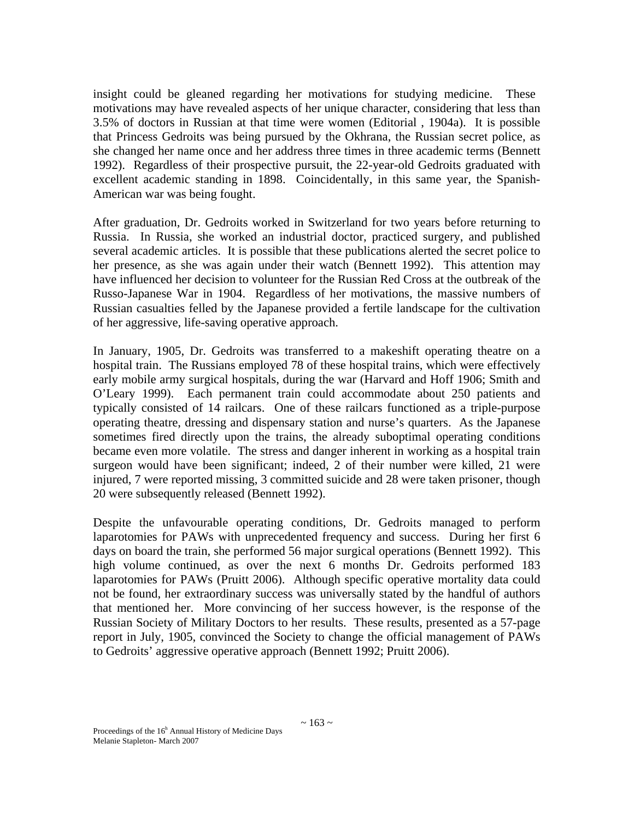insight could be gleaned regarding her motivations for studying medicine. These motivations may have revealed aspects of her unique character, considering that less than 3.5% of doctors in Russian at that time were women (Editorial , 1904a). It is possible that Princess Gedroits was being pursued by the Okhrana, the Russian secret police, as she changed her name once and her address three times in three academic terms (Bennett 1992). Regardless of their prospective pursuit, the 22-year-old Gedroits graduated with excellent academic standing in 1898. Coincidentally, in this same year, the Spanish-American war was being fought.

After graduation, Dr. Gedroits worked in Switzerland for two years before returning to Russia. In Russia, she worked an industrial doctor, practiced surgery, and published several academic articles. It is possible that these publications alerted the secret police to her presence, as she was again under their watch (Bennett 1992). This attention may have influenced her decision to volunteer for the Russian Red Cross at the outbreak of the Russo-Japanese War in 1904. Regardless of her motivations, the massive numbers of Russian casualties felled by the Japanese provided a fertile landscape for the cultivation of her aggressive, life-saving operative approach.

In January, 1905, Dr. Gedroits was transferred to a makeshift operating theatre on a hospital train. The Russians employed 78 of these hospital trains, which were effectively early mobile army surgical hospitals, during the war (Harvard and Hoff 1906; Smith and O'Leary 1999). Each permanent train could accommodate about 250 patients and typically consisted of 14 railcars. One of these railcars functioned as a triple-purpose operating theatre, dressing and dispensary station and nurse's quarters. As the Japanese sometimes fired directly upon the trains, the already suboptimal operating conditions became even more volatile. The stress and danger inherent in working as a hospital train surgeon would have been significant; indeed, 2 of their number were killed, 21 were injured, 7 were reported missing, 3 committed suicide and 28 were taken prisoner, though 20 were subsequently released (Bennett 1992).

Despite the unfavourable operating conditions, Dr. Gedroits managed to perform laparotomies for PAWs with unprecedented frequency and success. During her first 6 days on board the train, she performed 56 major surgical operations (Bennett 1992). This high volume continued, as over the next 6 months Dr. Gedroits performed 183 laparotomies for PAWs (Pruitt 2006). Although specific operative mortality data could not be found, her extraordinary success was universally stated by the handful of authors that mentioned her. More convincing of her success however, is the response of the Russian Society of Military Doctors to her results. These results, presented as a 57-page report in July, 1905, convinced the Society to change the official management of PAWs to Gedroits' aggressive operative approach (Bennett 1992; Pruitt 2006).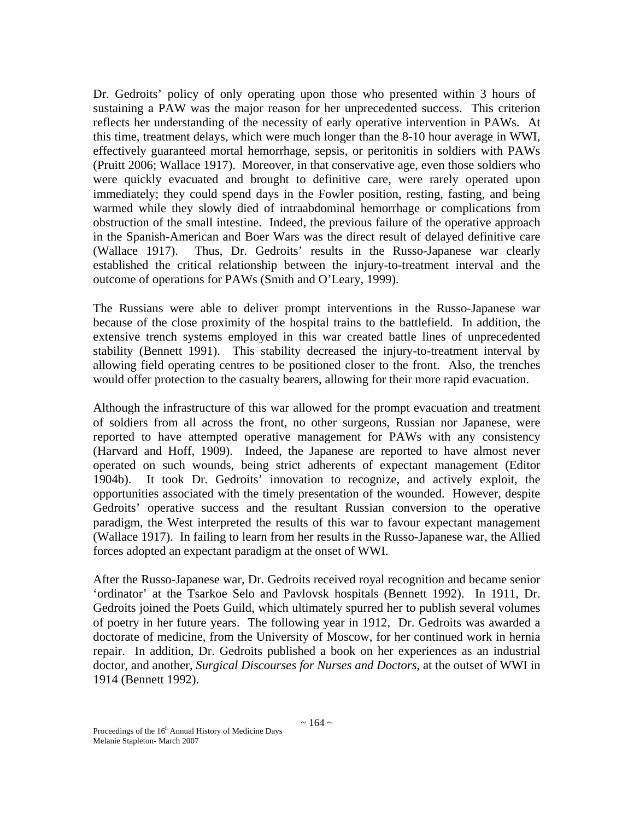Dr. Gedroits' policy of only operating upon those who presented within 3 hours of sustaining a PAW was the major reason for her unprecedented success. This criterion reflects her understanding of the necessity of early operative intervention in PAWs. At this time, treatment delays, which were much longer than the 8-10 hour average in WWI, effectively guaranteed mortal hemorrhage, sepsis, or peritonitis in soldiers with PAWs (Pruitt 2006; Wallace 1917). Moreover, in that conservative age, even those soldiers who were quickly evacuated and brought to definitive care, were rarely operated upon immediately; they could spend days in the Fowler position, resting, fasting, and being warmed while they slowly died of intraabdominal hemorrhage or complications from obstruction of the small intestine. Indeed, the previous failure of the operative approach in the Spanish-American and Boer Wars was the direct result of delayed definitive care (Wallace 1917). Thus, Dr. Gedroits' results in the Russo-Japanese war clearly established the critical relationship between the injury-to-treatment interval and the outcome of operations for PAWs (Smith and O'Leary, 1999).

The Russians were able to deliver prompt interventions in the Russo-Japanese war because of the close proximity of the hospital trains to the battlefield. In addition, the extensive trench systems employed in this war created battle lines of unprecedented stability (Bennett 1991). This stability decreased the injury-to-treatment interval by allowing field operating centres to be positioned closer to the front. Also, the trenches would offer protection to the casualty bearers, allowing for their more rapid evacuation.

Although the infrastructure of this war allowed for the prompt evacuation and treatment of soldiers from all across the front, no other surgeons, Russian nor Japanese, were reported to have attempted operative management for PAWs with any consistency (Harvard and Hoff, 1909). Indeed, the Japanese are reported to have almost never operated on such wounds, being strict adherents of expectant management (Editor 1904b). It took Dr. Gedroits' innovation to recognize, and actively exploit, the opportunities associated with the timely presentation of the wounded. However, despite Gedroits' operative success and the resultant Russian conversion to the operative paradigm, the West interpreted the results of this war to favour expectant management (Wallace 1917). In failing to learn from her results in the Russo-Japanese war, the Allied forces adopted an expectant paradigm at the onset of WWI.

After the Russo-Japanese war, Dr. Gedroits received royal recognition and became senior 'ordinator' at the Tsarkoe Selo and Pavlovsk hospitals (Bennett 1992). In 1911, Dr. Gedroits joined the Poets Guild, which ultimately spurred her to publish several volumes of poetry in her future years. The following year in 1912, Dr. Gedroits was awarded a doctorate of medicine, from the University of Moscow, for her continued work in hernia repair. In addition, Dr. Gedroits published a book on her experiences as an industrial doctor, and another, *Surgical Discourses for Nurses and Doctors*, at the outset of WWI in 1914 (Bennett 1992).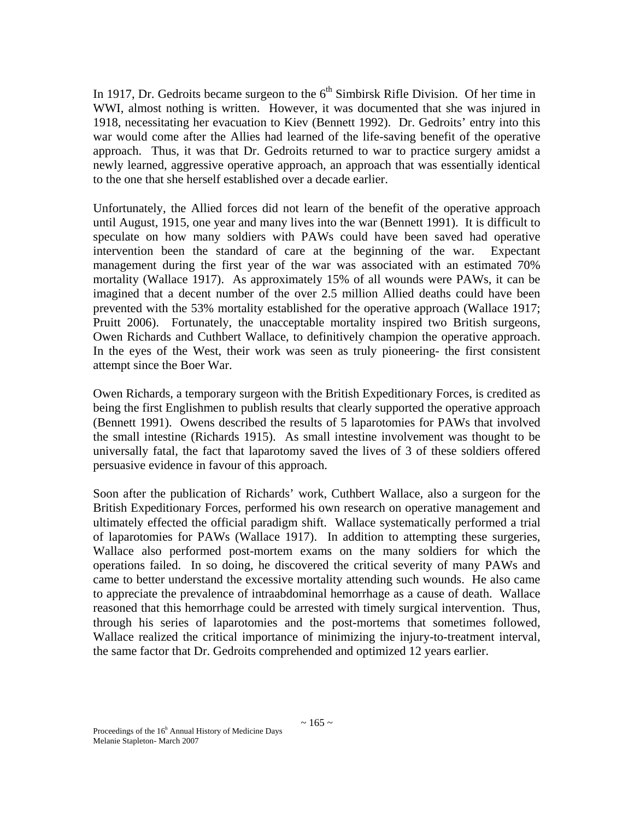In 1917, Dr. Gedroits became surgeon to the  $6<sup>th</sup>$  Simbirsk Rifle Division. Of her time in WWI, almost nothing is written. However, it was documented that she was injured in 1918, necessitating her evacuation to Kiev (Bennett 1992). Dr. Gedroits' entry into this war would come after the Allies had learned of the life-saving benefit of the operative approach. Thus, it was that Dr. Gedroits returned to war to practice surgery amidst a newly learned, aggressive operative approach, an approach that was essentially identical to the one that she herself established over a decade earlier.

Unfortunately, the Allied forces did not learn of the benefit of the operative approach until August, 1915, one year and many lives into the war (Bennett 1991). It is difficult to speculate on how many soldiers with PAWs could have been saved had operative intervention been the standard of care at the beginning of the war. Expectant management during the first year of the war was associated with an estimated 70% mortality (Wallace 1917). As approximately 15% of all wounds were PAWs, it can be imagined that a decent number of the over 2.5 million Allied deaths could have been prevented with the 53% mortality established for the operative approach (Wallace 1917; Pruitt 2006). Fortunately, the unacceptable mortality inspired two British surgeons, Owen Richards and Cuthbert Wallace, to definitively champion the operative approach. In the eyes of the West, their work was seen as truly pioneering- the first consistent attempt since the Boer War.

Owen Richards, a temporary surgeon with the British Expeditionary Forces, is credited as being the first Englishmen to publish results that clearly supported the operative approach (Bennett 1991). Owens described the results of 5 laparotomies for PAWs that involved the small intestine (Richards 1915). As small intestine involvement was thought to be universally fatal, the fact that laparotomy saved the lives of 3 of these soldiers offered persuasive evidence in favour of this approach.

Soon after the publication of Richards' work, Cuthbert Wallace, also a surgeon for the British Expeditionary Forces, performed his own research on operative management and ultimately effected the official paradigm shift. Wallace systematically performed a trial of laparotomies for PAWs (Wallace 1917). In addition to attempting these surgeries, Wallace also performed post-mortem exams on the many soldiers for which the operations failed. In so doing, he discovered the critical severity of many PAWs and came to better understand the excessive mortality attending such wounds. He also came to appreciate the prevalence of intraabdominal hemorrhage as a cause of death. Wallace reasoned that this hemorrhage could be arrested with timely surgical intervention. Thus, through his series of laparotomies and the post-mortems that sometimes followed, Wallace realized the critical importance of minimizing the injury-to-treatment interval, the same factor that Dr. Gedroits comprehended and optimized 12 years earlier.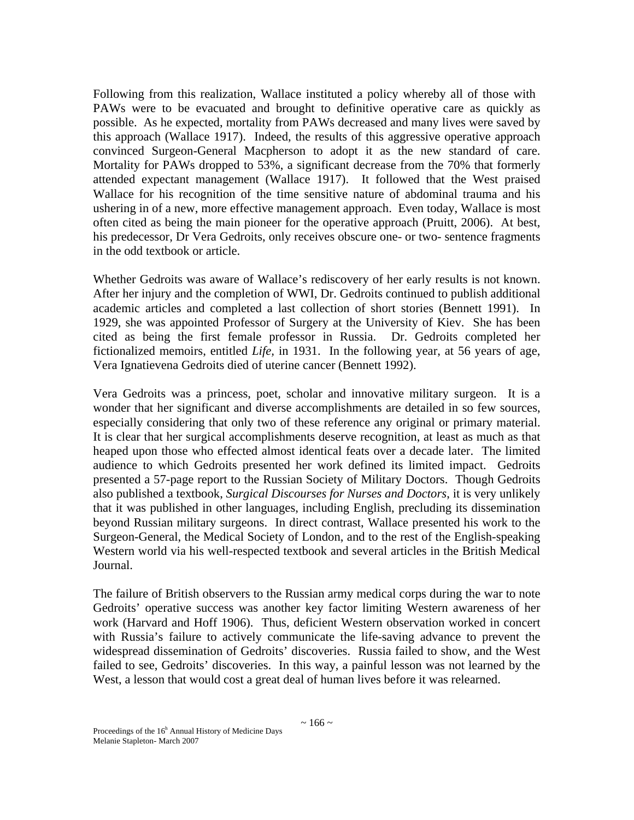Following from this realization, Wallace instituted a policy whereby all of those with PAWs were to be evacuated and brought to definitive operative care as quickly as possible. As he expected, mortality from PAWs decreased and many lives were saved by this approach (Wallace 1917). Indeed, the results of this aggressive operative approach convinced Surgeon-General Macpherson to adopt it as the new standard of care. Mortality for PAWs dropped to 53%, a significant decrease from the 70% that formerly attended expectant management (Wallace 1917). It followed that the West praised Wallace for his recognition of the time sensitive nature of abdominal trauma and his ushering in of a new, more effective management approach. Even today, Wallace is most often cited as being the main pioneer for the operative approach (Pruitt, 2006). At best, his predecessor, Dr Vera Gedroits, only receives obscure one- or two- sentence fragments in the odd textbook or article.

Whether Gedroits was aware of Wallace's rediscovery of her early results is not known. After her injury and the completion of WWI, Dr. Gedroits continued to publish additional academic articles and completed a last collection of short stories (Bennett 1991). In 1929, she was appointed Professor of Surgery at the University of Kiev. She has been cited as being the first female professor in Russia. Dr. Gedroits completed her fictionalized memoirs, entitled *Life,* in 1931. In the following year, at 56 years of age, Vera Ignatievena Gedroits died of uterine cancer (Bennett 1992).

Vera Gedroits was a princess, poet, scholar and innovative military surgeon. It is a wonder that her significant and diverse accomplishments are detailed in so few sources, especially considering that only two of these reference any original or primary material. It is clear that her surgical accomplishments deserve recognition, at least as much as that heaped upon those who effected almost identical feats over a decade later. The limited audience to which Gedroits presented her work defined its limited impact. Gedroits presented a 57-page report to the Russian Society of Military Doctors. Though Gedroits also published a textbook, *Surgical Discourses for Nurses and Doctors*, it is very unlikely that it was published in other languages, including English, precluding its dissemination beyond Russian military surgeons. In direct contrast, Wallace presented his work to the Surgeon-General, the Medical Society of London, and to the rest of the English-speaking Western world via his well-respected textbook and several articles in the British Medical Journal.

The failure of British observers to the Russian army medical corps during the war to note Gedroits' operative success was another key factor limiting Western awareness of her work (Harvard and Hoff 1906). Thus, deficient Western observation worked in concert with Russia's failure to actively communicate the life-saving advance to prevent the widespread dissemination of Gedroits' discoveries. Russia failed to show, and the West failed to see, Gedroits' discoveries. In this way, a painful lesson was not learned by the West, a lesson that would cost a great deal of human lives before it was relearned.